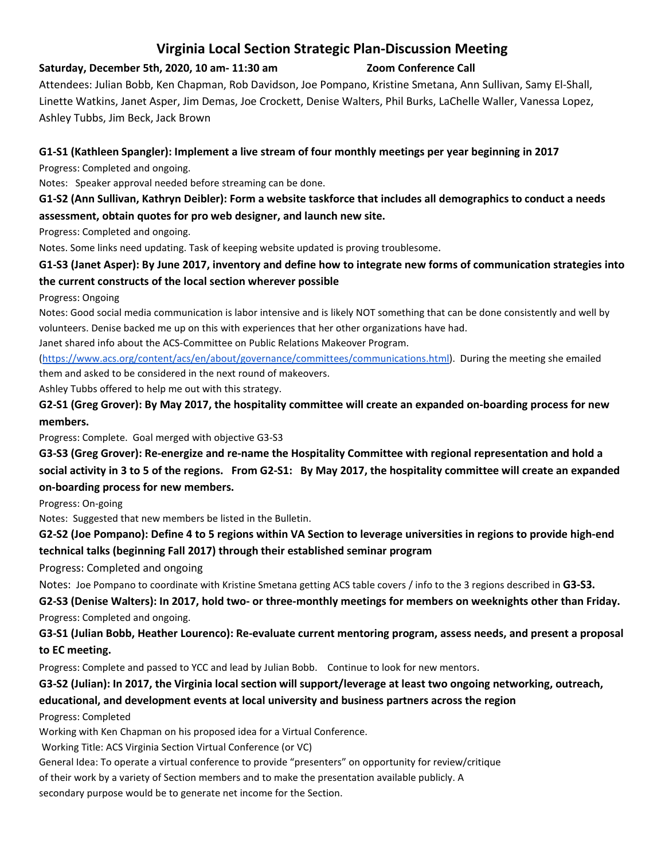# **Virginia Local Section Strategic Plan-Discussion Meeting**

#### **Saturday, December 5th, 2020, 10 am- 11:30 am Zoom Conference Call**

Attendees: Julian Bobb, Ken Chapman, Rob Davidson, Joe Pompano, Kristine Smetana, Ann Sullivan, Samy El-Shall, Linette Watkins, Janet Asper, Jim Demas, Joe Crockett, Denise Walters, Phil Burks, LaChelle Waller, Vanessa Lopez, Ashley Tubbs, Jim Beck, Jack Brown

#### **G1-S1 (Kathleen Spangler): Implement a live stream of four monthly meetings per year beginning in 2017**

Progress: Completed and ongoing.

Notes: Speaker approval needed before streaming can be done.

### **G1-S2 (Ann Sullivan, Kathryn Deibler): Form a website taskforce that includes all demographics to conduct a needs assessment, obtain quotes for pro web designer, and launch new site.**

Progress: Completed and ongoing.

Notes. Some links need updating. Task of keeping website updated is proving troublesome.

# **G1-S3 (Janet Asper): By June 2017, inventory and define how to integrate new forms of communication strategies into the current constructs of the local section wherever possible**

Progress: Ongoing

Notes: Good social media communication is labor intensive and is likely NOT something that can be done consistently and well by volunteers. Denise backed me up on this with experiences that her other organizations have had.

Janet shared info about the ACS-Committee on Public Relations Makeover Program.

[\(https://www.acs.org/content/acs/en/about/governance/committees/communications.html\)](https://www.acs.org/content/acs/en/about/governance/committees/communications.html). During the meeting she emailed them and asked to be considered in the next round of makeovers.

Ashley Tubbs offered to help me out with this strategy.

**G2-S1 (Greg Grover): By May 2017, the hospitality committee will create an expanded on-boarding process for new members.**

Progress: Complete. Goal merged with objective G3-S3

**G3-S3 (Greg Grover): Re-energize and re-name the Hospitality Committee with regional representation and hold a social activity in 3 to 5 of the regions. From G2-S1: By May 2017, the hospitality committee will create an expanded on-boarding process for new members.**

Progress: On-going

Notes: Suggested that new members be listed in the Bulletin.

**G2-S2 (Joe Pompano): Define 4 to 5 regions within VA Section to leverage universities in regions to provide high-end technical talks (beginning Fall 2017) through their established seminar program**

Progress: Completed and ongoing

Notes: Joe Pompano to coordinate with Kristine Smetana getting ACS table covers / info to the 3 regions described in **G3-S3.**

**G2-S3 (Denise Walters): In 2017, hold two- or three-monthly meetings for members on weeknights other than Friday.** Progress: Completed and ongoing.

**G3-S1 (Julian Bobb, Heather Lourenco): Re-evaluate current mentoring program, assess needs, and present a proposal to EC meeting.**

Progress: Complete and passed to YCC and lead by Julian Bobb. Continue to look for new mentors.

#### **G3-S2 (Julian): In 2017, the Virginia local section will support/leverage at least two ongoing networking, outreach,**

## **educational, and development events at local university and business partners across the region**

Progress: Completed

Working with Ken Chapman on his proposed idea for a Virtual Conference.

Working Title: ACS Virginia Section Virtual Conference (or VC)

General Idea: To operate a virtual conference to provide "presenters" on opportunity for review/critique

of their work by a variety of Section members and to make the presentation available publicly. A

secondary purpose would be to generate net income for the Section.